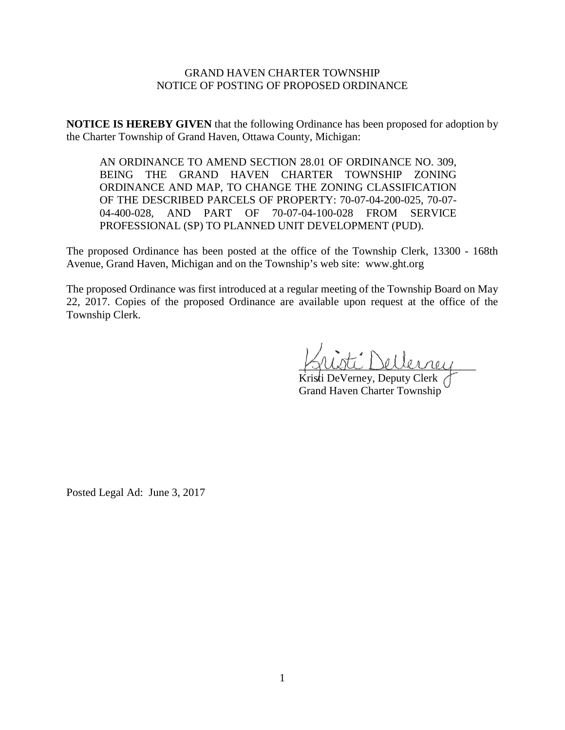# GRAND HAVEN CHARTER TOWNSHIP NOTICE OF POSTING OF PROPOSED ORDINANCE

**NOTICE IS HEREBY GIVEN** that the following Ordinance has been proposed for adoption by the Charter Township of Grand Haven, Ottawa County, Michigan:

AN ORDINANCE TO AMEND SECTION 28.01 OF ORDINANCE NO. 309, BEING THE GRAND HAVEN CHARTER TOWNSHIP ZONING ORDINANCE AND MAP, TO CHANGE THE ZONING CLASSIFICATION OF THE DESCRIBED PARCELS OF PROPERTY: 70-07-04-200-025, 70-07- 04-400-028, AND PART OF 70-07-04-100-028 FROM SERVICE PROFESSIONAL (SP) TO PLANNED UNIT DEVELOPMENT (PUD).

The proposed Ordinance has been posted at the office of the Township Clerk, 13300 - 168th Avenue, Grand Haven, Michigan and on the Township's web site: www.ght.org

The proposed Ordinance was first introduced at a regular meeting of the Township Board on May 22, 2017. Copies of the proposed Ordinance are available upon request at the office of the Township Clerk.

 $\mathcal{I}$  Dellerney

Kristi DeVerney, Deputy Clerk Grand Haven Charter Township

Posted Legal Ad: June 3, 2017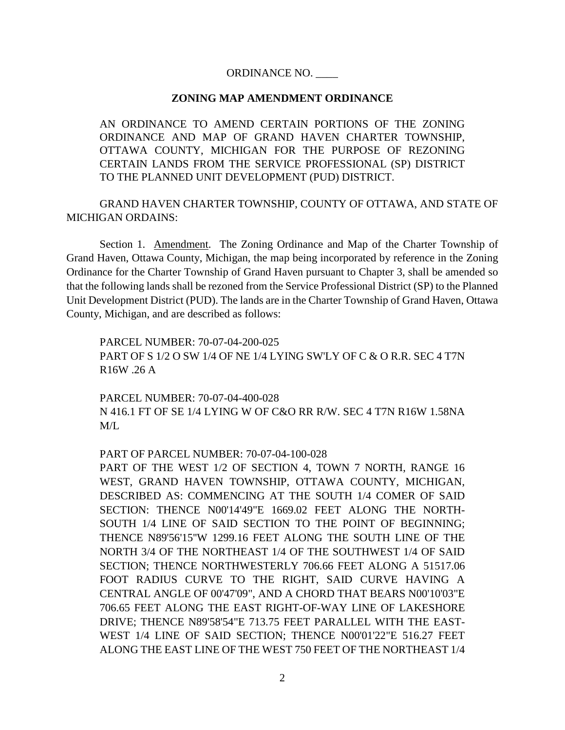## ORDINANCE NO. \_\_\_\_

#### **ZONING MAP AMENDMENT ORDINANCE**

AN ORDINANCE TO AMEND CERTAIN PORTIONS OF THE ZONING ORDINANCE AND MAP OF GRAND HAVEN CHARTER TOWNSHIP, OTTAWA COUNTY, MICHIGAN FOR THE PURPOSE OF REZONING CERTAIN LANDS FROM THE SERVICE PROFESSIONAL (SP) DISTRICT TO THE PLANNED UNIT DEVELOPMENT (PUD) DISTRICT.

GRAND HAVEN CHARTER TOWNSHIP, COUNTY OF OTTAWA, AND STATE OF MICHIGAN ORDAINS:

Section 1. Amendment. The Zoning Ordinance and Map of the Charter Township of Grand Haven, Ottawa County, Michigan, the map being incorporated by reference in the Zoning Ordinance for the Charter Township of Grand Haven pursuant to Chapter 3, shall be amended so that the following lands shall be rezoned from the Service Professional District (SP) to the Planned Unit Development District (PUD). The lands are in the Charter Township of Grand Haven, Ottawa County, Michigan, and are described as follows:

PARCEL NUMBER: 70-07-04-200-025 PART OF S 1/2 O SW 1/4 OF NE 1/4 LYING SW'LY OF C & O R.R. SEC 4 T7N R16W .26 A

PARCEL NUMBER: 70-07-04-400-028 N 416.1 FT OF SE 1/4 LYING W OF C&O RR R/W. SEC 4 T7N R16W 1.58NA M/L

#### PART OF PARCEL NUMBER: 70-07-04-100-028

PART OF THE WEST 1/2 OF SECTION 4, TOWN 7 NORTH, RANGE 16 WEST, GRAND HAVEN TOWNSHIP, OTTAWA COUNTY, MICHIGAN, DESCRIBED AS: COMMENCING AT THE SOUTH 1/4 COMER OF SAID SECTION: THENCE N00'14'49"E 1669.02 FEET ALONG THE NORTH-SOUTH 1/4 LINE OF SAID SECTION TO THE POINT OF BEGINNING; THENCE N89'56'15''W 1299.16 FEET ALONG THE SOUTH LINE OF THE NORTH 3/4 OF THE NORTHEAST 1/4 OF THE SOUTHWEST 1/4 OF SAID SECTION; THENCE NORTHWESTERLY 706.66 FEET ALONG A 51517.06 FOOT RADIUS CURVE TO THE RIGHT, SAID CURVE HAVING A CENTRAL ANGLE OF 00'47'09", AND A CHORD THAT BEARS N00'10'03"E 706.65 FEET ALONG THE EAST RIGHT-OF-WAY LINE OF LAKESHORE DRIVE; THENCE N89'58'54"E 713.75 FEET PARALLEL WITH THE EAST-WEST 1/4 LINE OF SAID SECTION; THENCE N00'01'22"E 516.27 FEET ALONG THE EAST LINE OF THE WEST 750 FEET OF THE NORTHEAST 1/4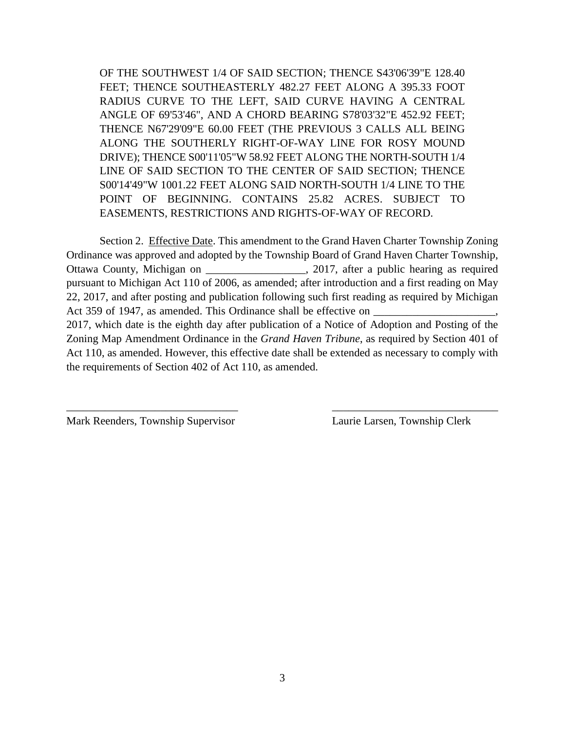OF THE SOUTHWEST 1/4 OF SAID SECTION; THENCE S43'06'39"E 128.40 FEET; THENCE SOUTHEASTERLY 482.27 FEET ALONG A 395.33 FOOT RADIUS CURVE TO THE LEFT, SAID CURVE HAVING A CENTRAL ANGLE OF 69'53'46", AND A CHORD BEARING S78'03'32"E 452.92 FEET; THENCE N67'29'09"E 60.00 FEET (THE PREVIOUS 3 CALLS ALL BEING ALONG THE SOUTHERLY RIGHT-OF-WAY LINE FOR ROSY MOUND DRIVE); THENCE S00'11'05"W 58.92 FEET ALONG THE NORTH-SOUTH 1/4 LINE OF SAID SECTION TO THE CENTER OF SAID SECTION; THENCE S00'14'49"W 1001.22 FEET ALONG SAID NORTH-SOUTH 1/4 LINE TO THE POINT OF BEGINNING. CONTAINS 25.82 ACRES. SUBJECT TO EASEMENTS, RESTRICTIONS AND RIGHTS-OF-WAY OF RECORD.

Section 2. Effective Date. This amendment to the Grand Haven Charter Township Zoning Ordinance was approved and adopted by the Township Board of Grand Haven Charter Township, Ottawa County, Michigan on \_\_\_\_\_\_\_\_\_\_\_\_\_\_\_\_\_\_, 2017, after a public hearing as required pursuant to Michigan Act 110 of 2006, as amended; after introduction and a first reading on May 22, 2017, and after posting and publication following such first reading as required by Michigan Act 359 of 1947, as amended. This Ordinance shall be effective on 2017, which date is the eighth day after publication of a Notice of Adoption and Posting of the Zoning Map Amendment Ordinance in the *Grand Haven Tribune*, as required by Section 401 of Act 110, as amended. However, this effective date shall be extended as necessary to comply with the requirements of Section 402 of Act 110, as amended.

\_\_\_\_\_\_\_\_\_\_\_\_\_\_\_\_\_\_\_\_\_\_\_\_\_\_\_\_\_\_\_ \_\_\_\_\_\_\_\_\_\_\_\_\_\_\_\_\_\_\_\_\_\_\_\_\_\_\_\_\_\_

Mark Reenders, Township Supervisor Laurie Larsen, Township Clerk